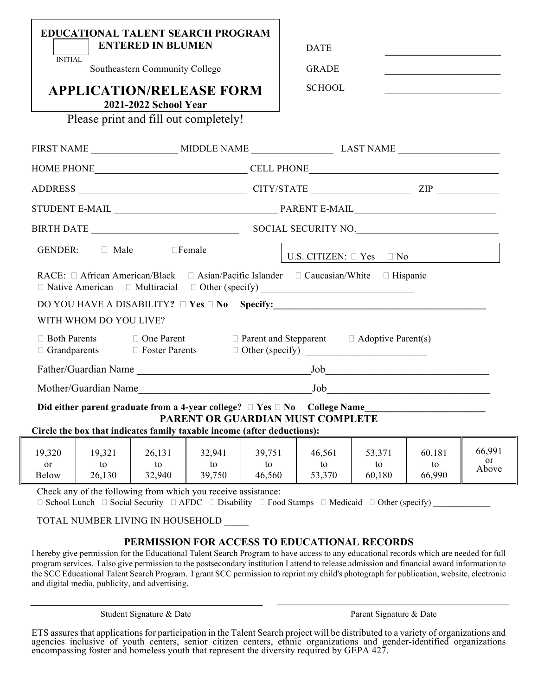|                                                  |                        | <b>EDUCATIONAL TALENT SEARCH PROGRAM</b><br><b>ENTERED IN BLUMEN</b>    |                        |                        | <b>DATE</b>                                                                                              |                        |                        |                       |  |  |
|--------------------------------------------------|------------------------|-------------------------------------------------------------------------|------------------------|------------------------|----------------------------------------------------------------------------------------------------------|------------------------|------------------------|-----------------------|--|--|
| <b>INITIAL</b><br>Southeastern Community College |                        |                                                                         |                        |                        | <b>GRADE</b>                                                                                             |                        |                        |                       |  |  |
|                                                  |                        | <b>APPLICATION/RELEASE FORM</b><br>2021-2022 School Year                |                        |                        | <b>SCHOOL</b>                                                                                            |                        |                        |                       |  |  |
|                                                  |                        | Please print and fill out completely!                                   |                        |                        |                                                                                                          |                        |                        |                       |  |  |
|                                                  |                        |                                                                         |                        |                        |                                                                                                          |                        |                        |                       |  |  |
|                                                  |                        |                                                                         |                        |                        |                                                                                                          |                        |                        |                       |  |  |
|                                                  |                        |                                                                         |                        |                        |                                                                                                          |                        |                        |                       |  |  |
|                                                  |                        |                                                                         |                        |                        |                                                                                                          |                        |                        |                       |  |  |
|                                                  |                        |                                                                         |                        |                        |                                                                                                          |                        |                        |                       |  |  |
|                                                  | GENDER: Male           |                                                                         | $\Box$ Female          |                        | U.S. CITIZEN: $\Box$ Yes $\Box$ No                                                                       |                        |                        |                       |  |  |
|                                                  |                        |                                                                         |                        |                        | RACE: $\Box$ African American/Black $\Box$ Asian/Pacific Islander $\Box$ Caucasian/White $\Box$ Hispanic |                        |                        |                       |  |  |
|                                                  |                        |                                                                         |                        |                        | DO YOU HAVE A DISABILITY? □ Yes □ No Specify:___________________________________                         |                        |                        |                       |  |  |
|                                                  | WITH WHOM DO YOU LIVE? |                                                                         |                        |                        |                                                                                                          |                        |                        |                       |  |  |
| □ Both Parents<br>$\Box$ Grandparents            |                        | $\Box$ One Parent<br>□ Foster Parents                                   |                        |                        | $\Box$ Parent and Stepparent $\Box$ Adoptive Parent(s)                                                   |                        |                        |                       |  |  |
|                                                  |                        |                                                                         |                        |                        |                                                                                                          |                        |                        |                       |  |  |
|                                                  |                        |                                                                         |                        |                        |                                                                                                          |                        |                        |                       |  |  |
|                                                  |                        |                                                                         |                        |                        | PARENT OR GUARDIAN MUST COMPLETE                                                                         |                        |                        |                       |  |  |
|                                                  |                        | Circle the box that indicates family taxable income (after deductions): |                        |                        |                                                                                                          |                        |                        |                       |  |  |
| 19,320<br><b>or</b><br>Below                     | 19,321<br>to<br>26,130 | 26,131<br>to<br>32,940                                                  | 32,941<br>to<br>39,750 | 39,751<br>to<br>46,560 | 46,561<br>to<br>53,370                                                                                   | 53,371<br>to<br>60,180 | 60,181<br>to<br>66,990 | 66,991<br>or<br>Above |  |  |
|                                                  |                        | Check any of the following from which you receive assistance:           |                        |                        |                                                                                                          |                        |                        |                       |  |  |

 $\Box$  School Lunch  $\Box$  Social Security  $\Box$  AFDC  $\Box$  Disability  $\Box$  Food Stamps  $\Box$  Medicaid  $\Box$  Other (specify)

TOTAL NUMBER LIVING IN HOUSEHOLD

## **PERMISSION FOR ACCESS TO EDUCATIONAL RECORDS**

I hereby give permission for the Educational Talent Search Program to have access to any educational records which are needed for full program services. I also give permission to the postsecondary institution I attend to release admission and financial award information to the SCC Educational Talent Search Program. I grant SCC permission to reprint my child's photograph for publication, website, electronic and digital media, publicity, and advertising.

Student Signature & Date **Parent Signature & Date** Parent Signature & Date

ETS assures that applications for participation in the Talent Search project will be distributed to a variety of organizations and agencies inclusive of youth centers, senior citizen centers, ethnic organizations and gender-identified organizations encompassing foster and homeless youth that represent the diversity required by GEPA 427.